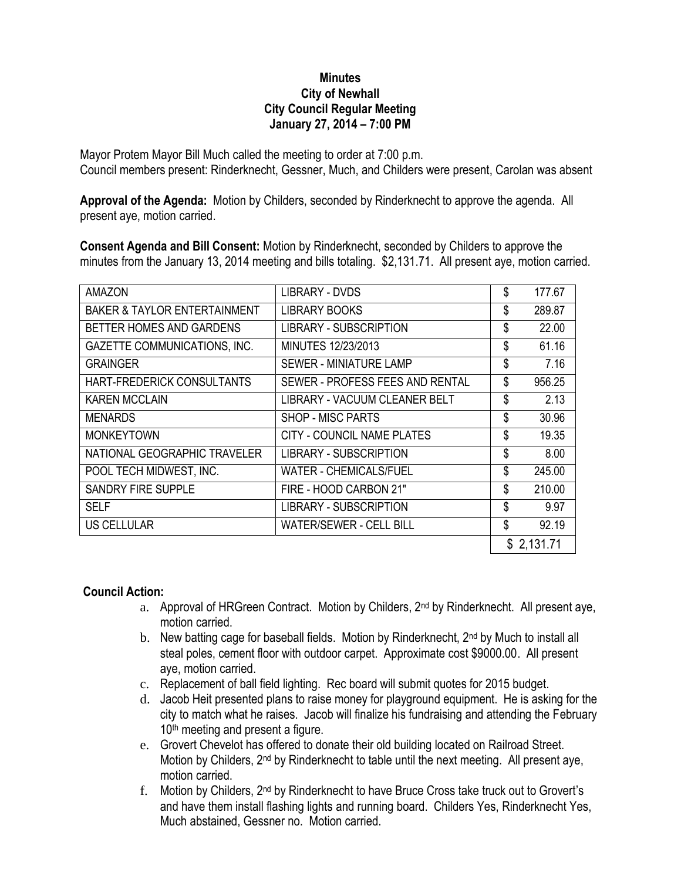## **Minutes City of Newhall City Council Regular Meeting January 27, 2014 – 7:00 PM**

Mayor Protem Mayor Bill Much called the meeting to order at 7:00 p.m. Council members present: Rinderknecht, Gessner, Much, and Childers were present, Carolan was absent

**Approval of the Agenda:** Motion by Childers, seconded by Rinderknecht to approve the agenda. All present aye, motion carried.

**Consent Agenda and Bill Consent:** Motion by Rinderknecht, seconded by Childers to approve the minutes from the January 13, 2014 meeting and bills totaling. \$2,131.71. All present aye, motion carried.

| <b>AMAZON</b>                           | LIBRARY - DVDS                  | \$ | 177.67     |
|-----------------------------------------|---------------------------------|----|------------|
| <b>BAKER &amp; TAYLOR ENTERTAINMENT</b> | <b>LIBRARY BOOKS</b>            | \$ | 289.87     |
| BETTER HOMES AND GARDENS                | <b>LIBRARY - SUBSCRIPTION</b>   | \$ | 22.00      |
| <b>GAZETTE COMMUNICATIONS, INC.</b>     | MINUTES 12/23/2013              | \$ | 61.16      |
| <b>GRAINGER</b>                         | SEWER - MINIATURE LAMP          | \$ | 7.16       |
| HART-FREDERICK CONSULTANTS              | SEWER - PROFESS FEES AND RENTAL | \$ | 956.25     |
| <b>KAREN MCCLAIN</b>                    | LIBRARY - VACUUM CLEANER BELT   | \$ | 2.13       |
| <b>MENARDS</b>                          | <b>SHOP - MISC PARTS</b>        | \$ | 30.96      |
| <b>MONKEYTOWN</b>                       | CITY - COUNCIL NAME PLATES      | \$ | 19.35      |
| NATIONAL GEOGRAPHIC TRAVELER            | <b>LIBRARY - SUBSCRIPTION</b>   | \$ | 8.00       |
| POOL TECH MIDWEST, INC.                 | <b>WATER - CHEMICALS/FUEL</b>   | \$ | 245.00     |
| <b>SANDRY FIRE SUPPLE</b>               | FIRE - HOOD CARBON 21"          | \$ | 210.00     |
| <b>SELF</b>                             | LIBRARY - SUBSCRIPTION          | \$ | 9.97       |
| US CELLULAR                             | WATER/SEWER - CELL BILL         | \$ | 92.19      |
|                                         |                                 |    | \$2,131.71 |

## **Council Action:**

- a. Approval of HRGreen Contract. Motion by Childers,  $2^{nd}$  by Rinderknecht. All present aye, motion carried.
- b. New batting cage for baseball fields. Motion by Rinderknecht, 2<sup>nd</sup> by Much to install all steal poles, cement floor with outdoor carpet. Approximate cost \$9000.00. All present aye, motion carried.
- c. Replacement of ball field lighting. Rec board will submit quotes for 2015 budget.
- d. Jacob Heit presented plans to raise money for playground equipment. He is asking for the city to match what he raises. Jacob will finalize his fundraising and attending the February  $10<sup>th</sup>$  meeting and present a figure.
- e. Grovert Chevelot has offered to donate their old building located on Railroad Street. Motion by Childers, 2nd by Rinderknecht to table until the next meeting. All present aye, motion carried.
- f. Motion by Childers, 2<sup>nd</sup> by Rinderknecht to have Bruce Cross take truck out to Grovert's and have them install flashing lights and running board. Childers Yes, Rinderknecht Yes, Much abstained, Gessner no. Motion carried.